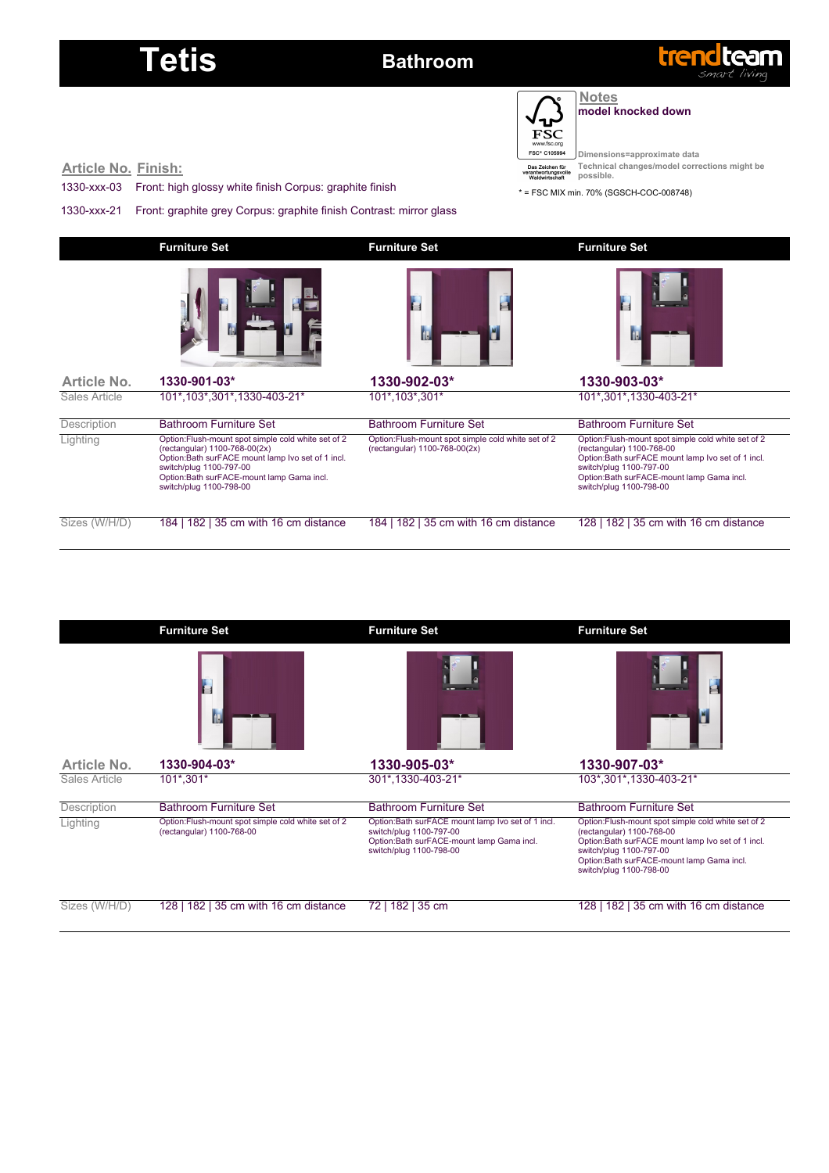### Tetis **Bathroom**



**Notes model knocked down**

 $F\overline{S}C$  $\frac{1}{\alpha}$ FSC\* C105994

**Dimensions=approximate data Technical changes/model corrections might be possible.**

**Article No. Finish:**

1330-xxx-03 Front: high glossy white finish Corpus: graphite finish

1330-xxx-21 Front: graphite grey Corpus: graphite finish Contrast: mirror glass

\* = FSC MIX min. 70% (SGSCH-COC-008748)

|               | <b>Furniture Set</b>                                                                                                                                                                                                                        | <b>Furniture Set</b>                                                                 | <b>Furniture Set</b>                                                                                                                                                                                                                       |  |  |
|---------------|---------------------------------------------------------------------------------------------------------------------------------------------------------------------------------------------------------------------------------------------|--------------------------------------------------------------------------------------|--------------------------------------------------------------------------------------------------------------------------------------------------------------------------------------------------------------------------------------------|--|--|
|               |                                                                                                                                                                                                                                             | E<br>w                                                                               |                                                                                                                                                                                                                                            |  |  |
| Article No.   | 1330-901-03*                                                                                                                                                                                                                                | 1330-902-03*                                                                         | 1330-903-03*                                                                                                                                                                                                                               |  |  |
| Sales Article | 101*, 103*, 301*, 1330-403-21*                                                                                                                                                                                                              | 101*, 103*, 301*                                                                     | 101*,301*,1330-403-21*                                                                                                                                                                                                                     |  |  |
| Description   | <b>Bathroom Furniture Set</b>                                                                                                                                                                                                               | <b>Bathroom Furniture Set</b>                                                        | <b>Bathroom Furniture Set</b>                                                                                                                                                                                                              |  |  |
| Lighting      | Option:Flush-mount spot simple cold white set of 2<br>(rectangular) 1100-768-00(2x)<br>Option:Bath surFACE mount lamp Ivo set of 1 incl.<br>switch/plug 1100-797-00<br>Option:Bath surFACE-mount lamp Gama incl.<br>switch/plug 1100-798-00 | Option: Flush-mount spot simple cold white set of 2<br>(rectangular) 1100-768-00(2x) | Option: Flush-mount spot simple cold white set of 2<br>(rectangular) 1100-768-00<br>Option: Bath surFACE mount lamp Ivo set of 1 incl.<br>switch/plug 1100-797-00<br>Option: Bath surFACE-mount lamp Gama incl.<br>switch/plug 1100-798-00 |  |  |
| Sizes (W/H/D) | 184   182   35 cm with 16 cm distance                                                                                                                                                                                                       | 184   182   35 cm with 16 cm distance                                                | 128   182   35 cm with 16 cm distance                                                                                                                                                                                                      |  |  |

|               | <b>Furniture Set</b>                                                            | <b>Furniture Set</b>                                                                                                                                   | <b>Furniture Set</b>                                                                                                                                                                                                                       |  |  |  |
|---------------|---------------------------------------------------------------------------------|--------------------------------------------------------------------------------------------------------------------------------------------------------|--------------------------------------------------------------------------------------------------------------------------------------------------------------------------------------------------------------------------------------------|--|--|--|
|               | T                                                                               |                                                                                                                                                        |                                                                                                                                                                                                                                            |  |  |  |
| Article No.   | 1330-904-03*                                                                    | 1330-905-03*                                                                                                                                           | 1330-907-03*                                                                                                                                                                                                                               |  |  |  |
| Sales Article | 101*,301*                                                                       | 301*,1330-403-21*                                                                                                                                      | 103*,301*,1330-403-21*                                                                                                                                                                                                                     |  |  |  |
| Description   | <b>Bathroom Furniture Set</b>                                                   | <b>Bathroom Furniture Set</b>                                                                                                                          | <b>Bathroom Furniture Set</b>                                                                                                                                                                                                              |  |  |  |
| Lighting      | Option:Flush-mount spot simple cold white set of 2<br>(rectangular) 1100-768-00 | Option: Bath surFACE mount lamp Ivo set of 1 incl.<br>switch/plug 1100-797-00<br>Option: Bath surFACE-mount lamp Gama incl.<br>switch/plug 1100-798-00 | Option: Flush-mount spot simple cold white set of 2<br>(rectangular) 1100-768-00<br>Option: Bath surFACE mount lamp Ivo set of 1 incl.<br>switch/plug 1100-797-00<br>Option: Bath surFACE-mount lamp Gama incl.<br>switch/plug 1100-798-00 |  |  |  |
| Sizes (W/H/D) | 128   182   35 cm with 16 cm distance                                           | 182   35 cm<br>72 I                                                                                                                                    | 182   35 cm with 16 cm distance<br>128 I                                                                                                                                                                                                   |  |  |  |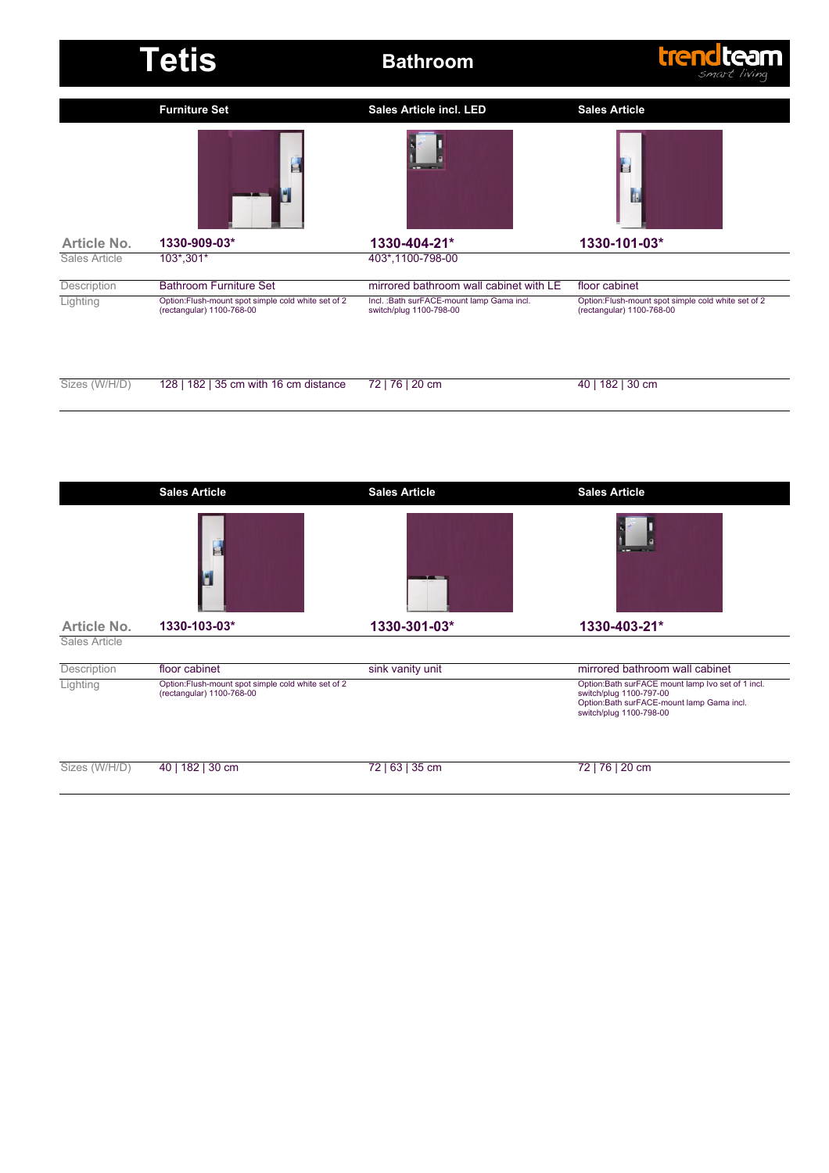|               | <b>Tetis</b>                                                                    | <b>Bathroom</b>                                                       | <b>trendteam</b><br>smart living                                                 |  |  |  |
|---------------|---------------------------------------------------------------------------------|-----------------------------------------------------------------------|----------------------------------------------------------------------------------|--|--|--|
|               | <b>Furniture Set</b>                                                            | <b>Sales Article incl. LED</b>                                        | <b>Sales Article</b>                                                             |  |  |  |
| Article No.   | g<br>1330-909-03*                                                               | $\overline{\phantom{a}}$<br>1330-404-21*                              | 1330-101-03*                                                                     |  |  |  |
| Sales Article | 103*,301*                                                                       | 403*,1100-798-00                                                      |                                                                                  |  |  |  |
| Description   | <b>Bathroom Furniture Set</b>                                                   | mirrored bathroom wall cabinet with LE                                | floor cabinet                                                                    |  |  |  |
| Lighting      | Option:Flush-mount spot simple cold white set of 2<br>(rectangular) 1100-768-00 | Incl. : Bath surFACE-mount lamp Gama incl.<br>switch/plug 1100-798-00 | Option: Flush-mount spot simple cold white set of 2<br>(rectangular) 1100-768-00 |  |  |  |
| Sizes (W/H/D) | 128   182   35 cm with 16 cm distance                                           | 72   76   20 cm                                                       | 40   182   30 cm                                                                 |  |  |  |

|               | <b>Sales Article</b>                                                            | <b>Sales Article</b> | <b>Sales Article</b>                                                                                                                                 |
|---------------|---------------------------------------------------------------------------------|----------------------|------------------------------------------------------------------------------------------------------------------------------------------------------|
|               | E                                                                               | <b>T ON</b>          | --                                                                                                                                                   |
| Article No.   | 1330-103-03*                                                                    | 1330-301-03*         | 1330-403-21*                                                                                                                                         |
| Sales Article |                                                                                 |                      |                                                                                                                                                      |
| Description   | floor cabinet                                                                   | sink vanity unit     | mirrored bathroom wall cabinet                                                                                                                       |
| Lighting      | Option:Flush-mount spot simple cold white set of 2<br>(rectangular) 1100-768-00 |                      | Option:Bath surFACE mount lamp Ivo set of 1 incl.<br>switch/plug 1100-797-00<br>Option:Bath surFACE-mount lamp Gama incl.<br>switch/plug 1100-798-00 |
| Sizes (W/H/D) | 40   182   30 cm                                                                | 72   63   35 cm      | 72   76   20 cm                                                                                                                                      |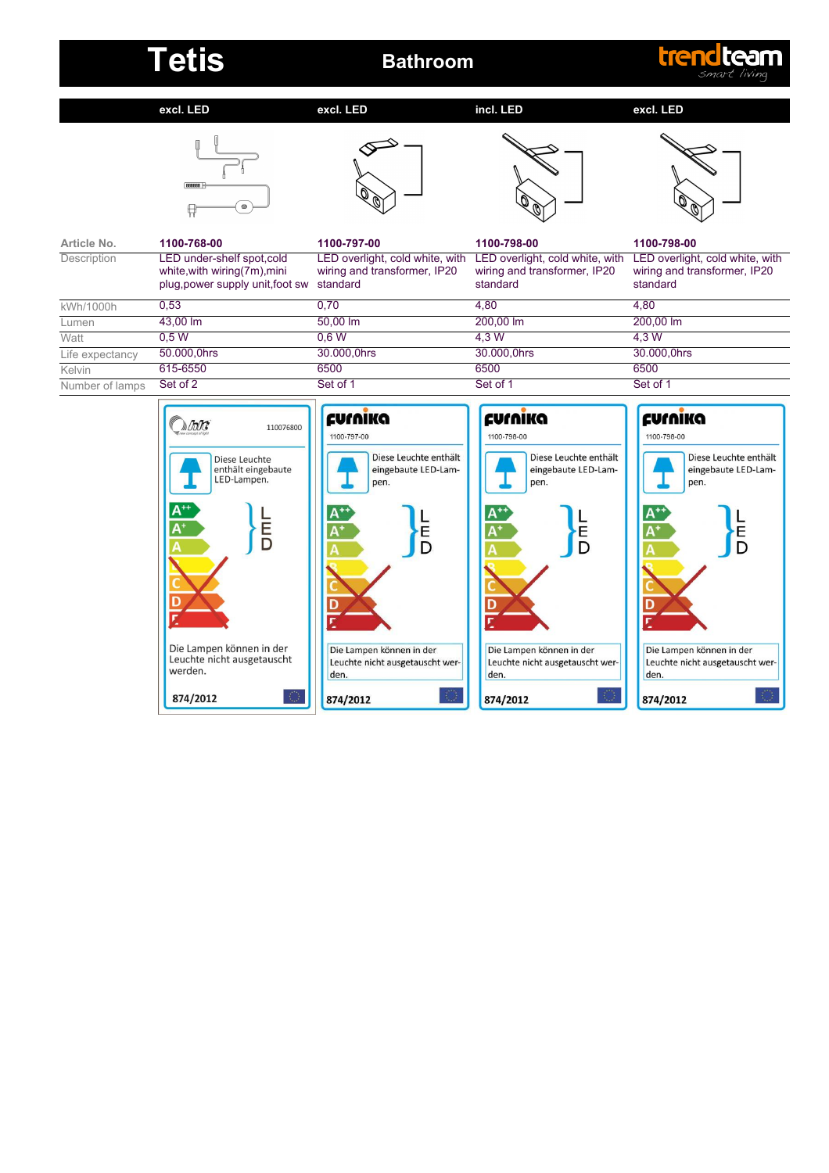## Tetis **Bathroom**

## trendteam

**excl. LED**

**excl. LED**

**incl. LED**

### **excl. LED**









| Article No.     | 1100-768-00                                                                                    | 1100-797-00                                                                 | 1100-798-00                                                                 | 1100-798-00                                                                 |
|-----------------|------------------------------------------------------------------------------------------------|-----------------------------------------------------------------------------|-----------------------------------------------------------------------------|-----------------------------------------------------------------------------|
| Description     | LED under-shelf spot,cold<br>white, with wiring (7m), mini<br>plug, power supply unit, foot sw | LED overlight, cold white, with<br>wiring and transformer, IP20<br>standard | LED overlight, cold white, with<br>wiring and transformer, IP20<br>standard | LED overlight, cold white, with<br>wiring and transformer, IP20<br>standard |
| kWh/1000h       | 0.53                                                                                           | 0.70                                                                        | 4.80                                                                        | 4.80                                                                        |
| Lumen           | 43.00 lm                                                                                       | 50.00 lm                                                                    | 200,00 lm                                                                   | 200.00 lm                                                                   |
| Watt            | 0.5W                                                                                           | 0.6 W                                                                       | 4.3 W                                                                       | 4.3 W                                                                       |
| Life expectancy | 50.000,0hrs                                                                                    | 30.000,0hrs                                                                 | 30.000,0hrs                                                                 | 30.000,0hrs                                                                 |
| Kelvin          | 615-6550                                                                                       | 6500                                                                        | 6500                                                                        | 6500                                                                        |
| Number of lamps | Set of 2                                                                                       | Set of 1                                                                    | Set of 1                                                                    | Set of 1                                                                    |